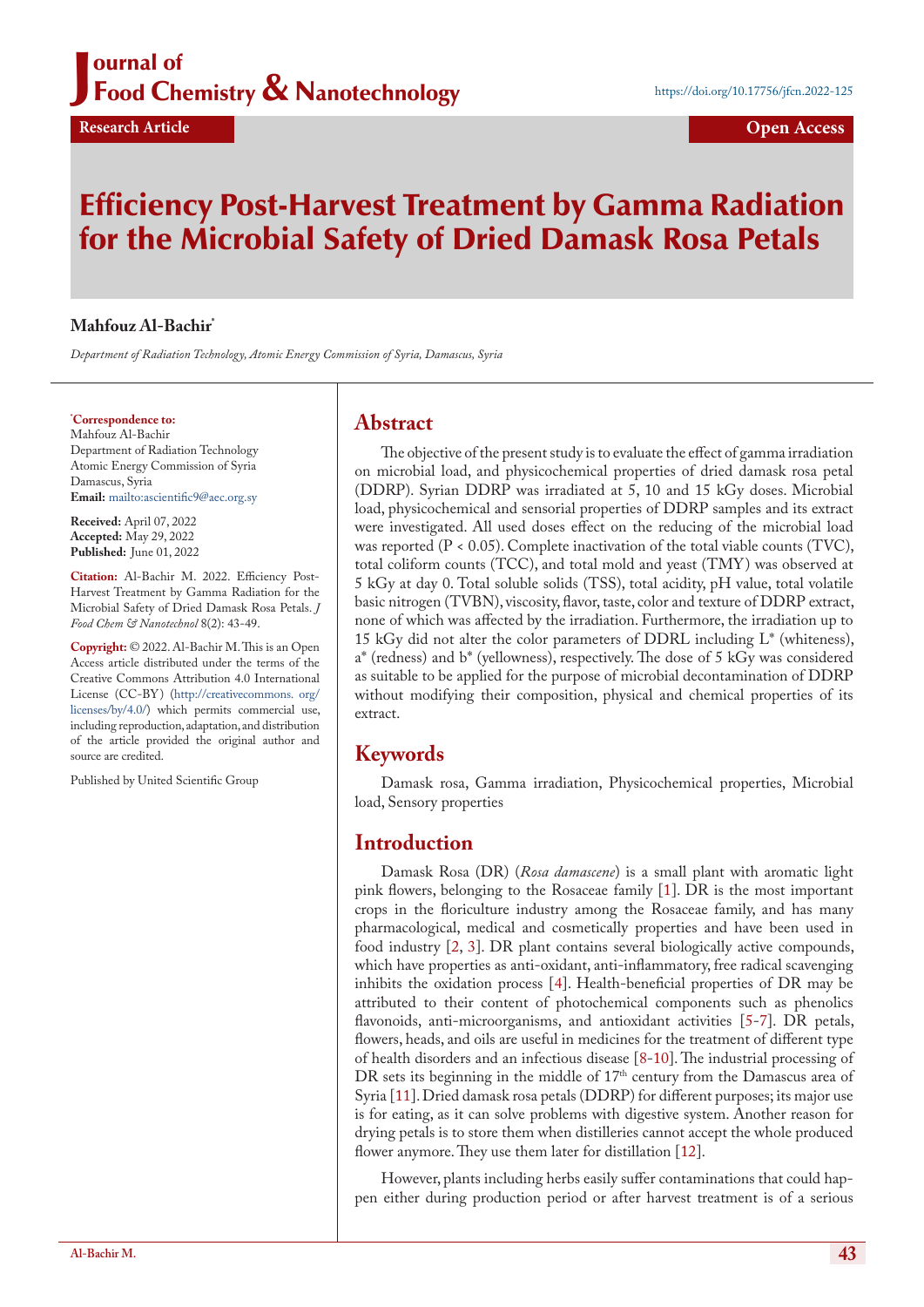## Journal of **Chemistry & Nanotechnology State of the Set of Automobility Set of Automobility Set of Auto-** Auto-Burnal State State State State State State State State State State State State State State State State State ournal of

# Efficiency Post-Harvest Treatment by Gamma Radiation for the Microbial Safety of Dried Damask Rosa Petals

### **Mahfouz Al-Bachir\***

*Department of Radiation Technology, Atomic Energy Commission of Syria, Damascus, Syria*

#### **\* Correspondence to:**

Mahfouz Al-Bachir Department of Radiation Technology Atomic Energy Commission of Syria Damascus, Syria **Email:** <mailto:ascientific9@aec.org.sy>

**Received:** April 07, 2022 **Accepted:** May 29, 2022 **Published:** June 01, 2022

**Citation:** Al-Bachir M. 2022. Efficiency Post-Harvest Treatment by Gamma Radiation for the Microbial Safety of Dried Damask Rosa Petals. *J Food Chem & Nanotechnol* 8(2): 43-49.

**Copyright:** © 2022. Al-Bachir M. This is an Open Access article distributed under the terms of the Creative Commons Attribution 4.0 International License (CC-BY) [\(http://creativecommons. org/](http://http://creativecommons. org/licenses/by/4.0/) [licenses/by/4.0/](http://http://creativecommons. org/licenses/by/4.0/)) which permits commercial use, including reproduction, adaptation, and distribution of the article provided the original author and source are credited.

Published by United Scientific Group

### **Abstract**

The objective of the present study is to evaluate the effect of gamma irradiation on microbial load, and physicochemical properties of dried damask rosa petal (DDRP). Syrian DDRP was irradiated at 5, 10 and 15 kGy doses. Microbial load, physicochemical and sensorial properties of DDRP samples and its extract were investigated. All used doses effect on the reducing of the microbial load was reported (P < 0.05). Complete inactivation of the total viable counts (TVC), total coliform counts (TCC), and total mold and yeast (TMY) was observed at 5 kGy at day 0. Total soluble solids (TSS), total acidity, pH value, total volatile basic nitrogen (TVBN), viscosity, flavor, taste, color and texture of DDRP extract, none of which was affected by the irradiation. Furthermore, the irradiation up to 15 kGy did not alter the color parameters of DDRL including  $L^*$  (whiteness), a\* (redness) and b\* (yellowness), respectively. The dose of 5 kGy was considered as suitable to be applied for the purpose of microbial decontamination of DDRP without modifying their composition, physical and chemical properties of its extract.

### **Keywords**

Damask rosa, Gamma irradiation, Physicochemical properties, Microbial load, Sensory properties

### **Introduction**

Damask Rosa (DR) (*Rosa damascene*) is a small plant with aromatic light pink flowers, belonging to the Rosaceae family [[1\]](#page-5-0). DR is the most important crops in the floriculture industry among the Rosaceae family, and has many pharmacological, medical and cosmetically properties and have been used in food industry [2, [3](#page-5-1)]. DR plant contains several biologically active compounds, which have properties as anti-oxidant, anti-inflammatory, free radical scavenging inhibits the oxidation process [\[4](#page-5-2)]. Health-beneficial properties of DR may be attributed to their content of photochemical components such as phenolics flavonoids, anti-microorganisms, and antioxidant activities [\[5](#page-5-3)-7]. DR petals, flowers, heads, and oils are useful in medicines for the treatment of different type of health disorders and an infectious disease [[8-](#page-5-4)[10](#page-5-5)]. The industrial processing of DR sets its beginning in the middle of 17<sup>th</sup> century from the Damascus area of Syria [[11\]](#page-5-6). Dried damask rosa petals (DDRP) for different purposes; its major use is for eating, as it can solve problems with digestive system. Another reason for drying petals is to store them when distilleries cannot accept the whole produced flower anymore. They use them later for distillation [[12\]](#page-5-7).

However, plants including herbs easily suffer contaminations that could happen either during production period or after harvest treatment is of a serious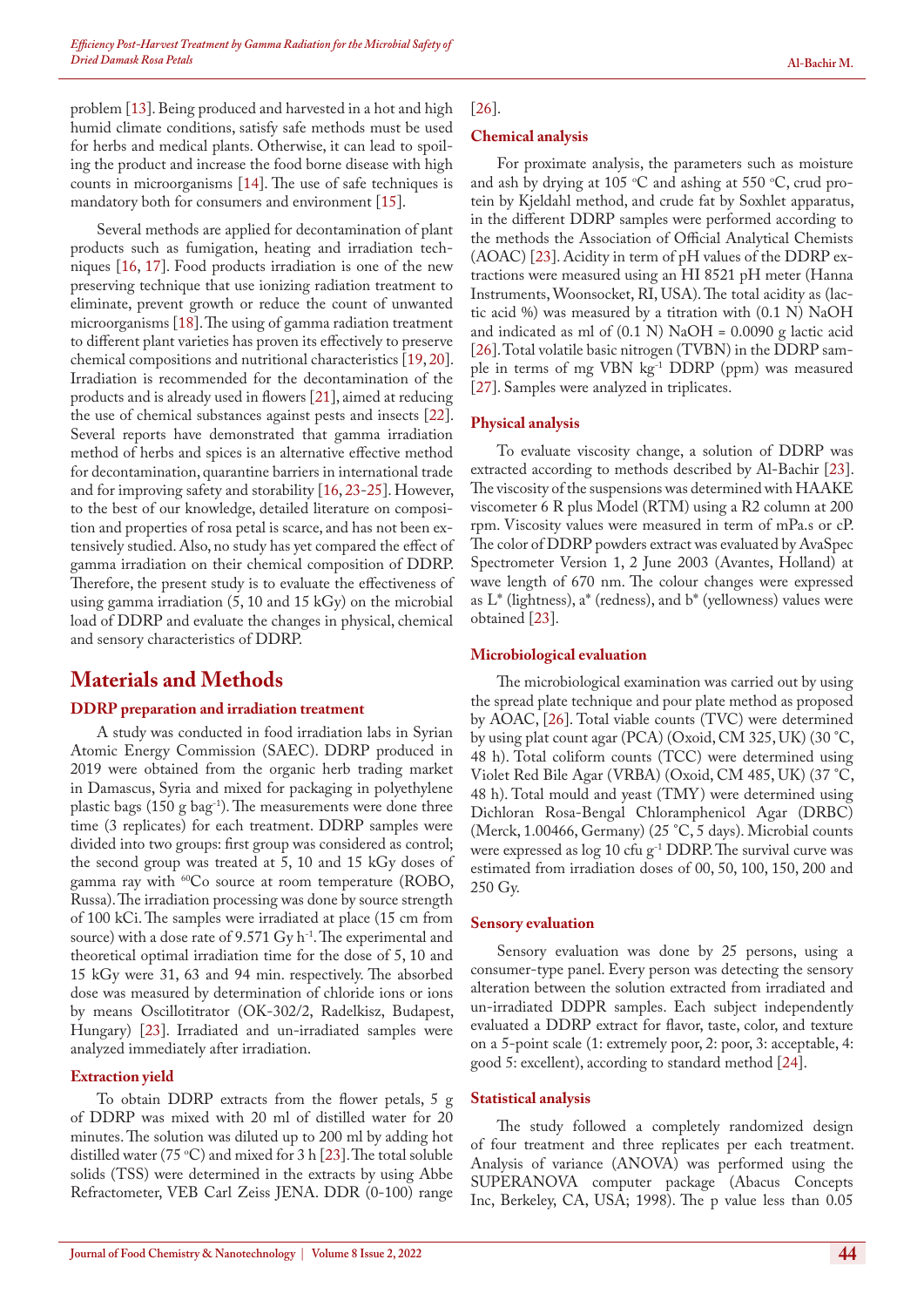problem [\[13](#page-5-8)]. Being produced and harvested in a hot and high humid climate conditions, satisfy safe methods must be used for herbs and medical plants. Otherwise, it can lead to spoiling the product and increase the food borne disease with high counts in microorganisms [14]. The use of safe techniques is mandatory both for consumers and environment [[15\]](#page-5-9).

Several methods are applied for decontamination of plant products such as fumigation, heating and irradiation techniques [\[16](#page-5-10), [17\]](#page-5-11). Food products irradiation is one of the new preserving technique that use ionizing radiation treatment to eliminate, prevent growth or reduce the count of unwanted microorganisms [[18\]](#page-5-12). The using of gamma radiation treatment to different plant varieties has proven its effectively to preserve chemical compositions and nutritional characteristics [[19,](#page-5-13) [20\]](#page-5-14). Irradiation is recommended for the decontamination of the products and is already used in flowers [21], aimed at reducing the use of chemical substances against pests and insects [[22\]](#page-5-15). Several reports have demonstrated that gamma irradiation method of herbs and spices is an alternative effective method for decontamination, quarantine barriers in international trade and for improving safety and storability [\[16](#page-5-10), [23](#page-6-1)[-25](#page-6-4)]. However, to the best of our knowledge, detailed literature on composition and properties of rosa petal is scarce, and has not been extensively studied. Also, no study has yet compared the effect of gamma irradiation on their chemical composition of DDRP. Therefore, the present study is to evaluate the effectiveness of using gamma irradiation (5, 10 and 15 kGy) on the microbial load of DDRP and evaluate the changes in physical, chemical and sensory characteristics of DDRP.

### **Materials and Methods**

#### **DDRP preparation and irradiation treatment**

A study was conducted in food irradiation labs in Syrian Atomic Energy Commission (SAEC). DDRP produced in 2019 were obtained from the organic herb trading market in Damascus, Syria and mixed for packaging in polyethylene plastic bags (150 g bag-1). The measurements were done three time (3 replicates) for each treatment. DDRP samples were divided into two groups: first group was considered as control; the second group was treated at 5, 10 and 15 kGy doses of gamma ray with  $^{60}Co$  source at room temperature (ROBO, Russa). The irradiation processing was done by source strength of 100 kCi. The samples were irradiated at place (15 cm from source) with a dose rate of  $9.571 \text{ Gy} \, \text{h}^{-1}$ . The experimental and theoretical optimal irradiation time for the dose of 5, 10 and 15 kGy were 31, 63 and 94 min. respectively. The absorbed dose was measured by determination of chloride ions or ions by means Oscillotitrator (OK-302/2, Radelkisz, Budapest, Hungary) [\[23](#page-6-1)]. Irradiated and un-irradiated samples were analyzed immediately after irradiation.

#### **Extraction yield**

To obtain DDRP extracts from the flower petals, 5 g of DDRP was mixed with 20 ml of distilled water for 20 minutes. The solution was diluted up to 200 ml by adding hot distilled water (75 °C) and mixed for 3 h [[23\]](#page-6-1). The total soluble solids (TSS) were determined in the extracts by using Abbe Refractometer, VEB Carl Zeiss JENA. DDR (0-100) range

#### [[26\]](#page-6-0).

#### **Chemical analysis**

For proximate analysis, the parameters such as moisture and ash by drying at 105 °C and ashing at 550 °C, crud protein by Kjeldahl method, and crude fat by Soxhlet apparatus, in the different DDRP samples were performed according to the methods the Association of Official Analytical Chemists (AOAC) [\[23](#page-6-1)]. Acidity in term of pH values of the DDRP extractions were measured using an HI 8521 pH meter (Hanna Instruments, Woonsocket, RI, USA). The total acidity as (lactic acid %) was measured by a titration with (0.1 N) NaOH and indicated as ml of  $(0.1 \text{ N})$  NaOH = 0.0090 g lactic acid [[26\]](#page-6-0). Total volatile basic nitrogen (TVBN) in the DDRP sample in terms of mg VBN kg-1 DDRP (ppm) was measured [[27\]](#page-6-2). Samples were analyzed in triplicates.

#### **Physical analysis**

To evaluate viscosity change, a solution of DDRP was extracted according to methods described by Al-Bachir [[23\]](#page-6-1). The viscosity of the suspensions was determined with HAAKE viscometer 6 R plus Model (RTM) using a R2 column at 200 rpm. Viscosity values were measured in term of mPa.s or cP. The color of DDRP powders extract was evaluated by AvaSpec Spectrometer Version 1, 2 June 2003 (Avantes, Holland) at wave length of 670 nm. The colour changes were expressed as L\* (lightness), a\* (redness), and b\* (yellowness) values were obtained [\[23](#page-6-1)].

#### **Microbiological evaluation**

The microbiological examination was carried out by using the spread plate technique and pour plate method as proposed by AOAC, [\[26](#page-6-0)]. Total viable counts (TVC) were determined by using plat count agar (PCA) (Oxoid, CM 325, UK) (30 °C, 48 h). Total coliform counts (TCC) were determined using Violet Red Bile Agar (VRBA) (Oxoid, CM 485, UK) (37 °C, 48 h). Total mould and yeast (TMY) were determined using Dichloran Rosa-Bengal Chloramphenicol Agar (DRBC) (Merck, 1.00466, Germany) (25 °C, 5 days). Microbial counts were expressed as log 10 cfu g<sup>-1</sup> DDRP. The survival curve was estimated from irradiation doses of 00, 50, 100, 150, 200 and 250 Gy.

#### **Sensory evaluation**

Sensory evaluation was done by 25 persons, using a consumer-type panel. Every person was detecting the sensory alteration between the solution extracted from irradiated and un-irradiated DDPR samples. Each subject independently evaluated a DDRP extract for flavor, taste, color, and texture on a 5-point scale (1: extremely poor, 2: poor, 3: acceptable, 4: good 5: excellent), according to standard method [\[24](#page-6-3)].

#### **Statistical analysis**

The study followed a completely randomized design of four treatment and three replicates per each treatment. Analysis of variance (ANOVA) was performed using the SUPERANOVA computer package (Abacus Concepts Inc, Berkeley, CA, USA; 1998). The p value less than 0.05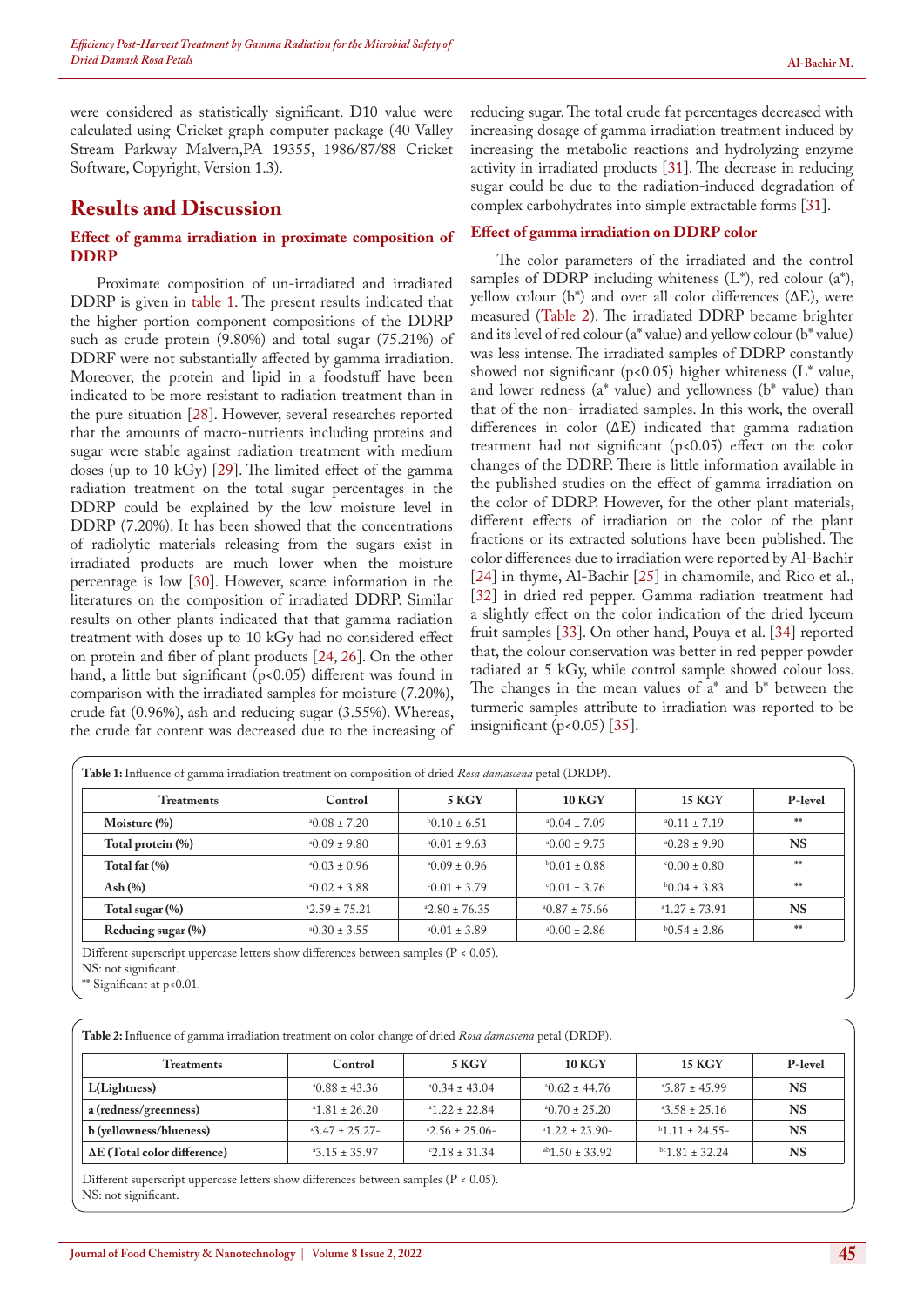were considered as statistically significant. D10 value were calculated using Cricket graph computer package (40 Valley Stream Parkway Malvern,PA 19355, 1986/87/88 Cricket Software, Copyright, Version 1.3).

### **Results and Discussion**

#### **Effect of gamma irradiation in proximate composition of DDRP**

Proximate composition of un-irradiated and irradiated DDRP is given in table 1. The present results indicated that the higher portion component compositions of the DDRP such as crude protein (9.80%) and total sugar (75.21%) of DDRF were not substantially affected by gamma irradiation. Moreover, the protein and lipid in a foodstuff have been indicated to be more resistant to radiation treatment than in the pure situation [28]. However, several researches reported that the amounts of macro-nutrients including proteins and sugar were stable against radiation treatment with medium doses (up to 10 kGy) [\[29](#page-6-5)]. The limited effect of the gamma radiation treatment on the total sugar percentages in the DDRP could be explained by the low moisture level in DDRP (7.20%). It has been showed that the concentrations of radiolytic materials releasing from the sugars exist in irradiated products are much lower when the moisture percentage is low [[30\]](#page-6-6). However, scarce information in the literatures on the composition of irradiated DDRP. Similar results on other plants indicated that that gamma radiation treatment with doses up to 10 kGy had no considered effect on protein and fiber of plant products [\[24](#page-6-3), [26\]](#page-6-0). On the other hand, a little but significant (p<0.05) different was found in comparison with the irradiated samples for moisture (7.20%), crude fat (0.96%), ash and reducing sugar (3.55%). Whereas, the crude fat content was decreased due to the increasing of reducing sugar. The total crude fat percentages decreased with increasing dosage of gamma irradiation treatment induced by increasing the metabolic reactions and hydrolyzing enzyme activity in irradiated products [\[31](#page-6-7)]. The decrease in reducing sugar could be due to the radiation-induced degradation of complex carbohydrates into simple extractable forms [[31\]](#page-6-7).

#### **Effect of gamma irradiation on DDRP color**

The color parameters of the irradiated and the control samples of DDRP including whiteness  $(L^*)$ , red colour  $(a^*)$ , yellow colour (b\*) and over all color differences ( $ΔE$ ), were measured (Table 2). The irradiated DDRP became brighter and its level of red colour (a\* value) and yellow colour (b\* value) was less intense. The irradiated samples of DDRP constantly showed not significant (p<0.05) higher whiteness ( $L^*$  value, and lower redness (a\* value) and yellowness (b\* value) than that of the non- irradiated samples. In this work, the overall differences in color (ΔE) indicated that gamma radiation treatment had not significant (p<0.05) effect on the color changes of the DDRP. There is little information available in the published studies on the effect of gamma irradiation on the color of DDRP. However, for the other plant materials, different effects of irradiation on the color of the plant fractions or its extracted solutions have been published. The color differences due to irradiation were reported by Al-Bachir [[24\]](#page-6-3) in thyme, Al-Bachir [[25\]](#page-6-4) in chamomile, and Rico et al., [[32\]](#page-6-8) in dried red pepper. Gamma radiation treatment had a slightly effect on the color indication of the dried lyceum fruit samples [33]. On other hand, Pouya et al. [\[34](#page-6-9)] reported that, the colour conservation was better in red pepper powder radiated at 5 kGy, while control sample showed colour loss. The changes in the mean values of  $a^*$  and  $b^*$  between the turmeric samples attribute to irradiation was reported to be insignificant  $(p<0.05)$  [[35\]](#page-6-10).

| <b>Treatments</b>  | Control             | 5 KGY               | <b>10 KGY</b>       | <b>15 KGY</b>      | P-level   |
|--------------------|---------------------|---------------------|---------------------|--------------------|-----------|
| Moisture (%)       | $*0.08 \pm 7.20$    | $b0.10 \pm 6.51$    | $^{4}$ 0.04 ± 7.09  | $40.11 \pm 7.19$   | **        |
| Total protein (%)  | $*0.09 \pm 9.80$    | $^40.01 \pm 9.63$   | $*0.00 \pm 9.75$    | $^{4}$ 0.28 ± 9.90 | <b>NS</b> |
| Total fat (%)      | $^{4}0.03 \pm 0.96$ | $^{40.09 \pm 0.96}$ | $b0.01 \pm 0.88$    | $0.00 \pm 0.80$    | skaje     |
| Ash $(\% )$        | $^40.02 \pm 3.88$   | $0.01 \pm 3.79$     | $0.01 \pm 3.76$     | $b0.04 \pm 3.83$   | skaje     |
| Total sugar (%)    | $2.59 \pm 75.21$    | $2.80 \pm 76.35$    | $^{4}$ 0.87 ± 75.66 | $41.27 \pm 73.91$  | <b>NS</b> |
| Reducing sugar (%) | $^40.30 \pm 3.55$   | $^40.01 \pm 3.89$   | $*0.00 \pm 2.86$    | $b$ 0.54 ± 2.86    | **        |

NS: not significant.

\*\* Significant at p<0.01.

**Table 2:** Influence of gamma irradiation treatment on color change of dried *Rosa damascena* petal (DRDP).

| Treatments                          | Control           | <b>5 KGY</b>        | <b>10 KGY</b>         | <b>15 KGY</b>      | P-level   |
|-------------------------------------|-------------------|---------------------|-----------------------|--------------------|-----------|
| L(Lightness)                        | $40.88 \pm 43.36$ | $^{4}$ 0.34 ± 43.04 | $^{40.62 \pm 44.76}$  | $45.87 \pm 45.99$  | <b>NS</b> |
| a (redness/greenness)               | 26.20             | $41.22 \pm 22.84$   | $^{4}$ 0.70 ± 25.20   | $43.58 \pm 25.16$  | NS        |
| b (yellowness/blueness)             | $43.47 \pm 25.27$ | $2.56 \pm 25.06$    | $41.22 \pm 23.90$     | $b$ 1.11 ± 24.55-  | <b>NS</b> |
| $\Delta E$ (Total color difference) | $43.15 \pm 35.97$ | $-2.18 \pm 31.34$   | $^{ab}1.50 \pm 33.92$ | $bc1.81 \pm 32.24$ | <b>NS</b> |

Different superscript uppercase letters show differences between samples (P < 0.05). NS: not significant.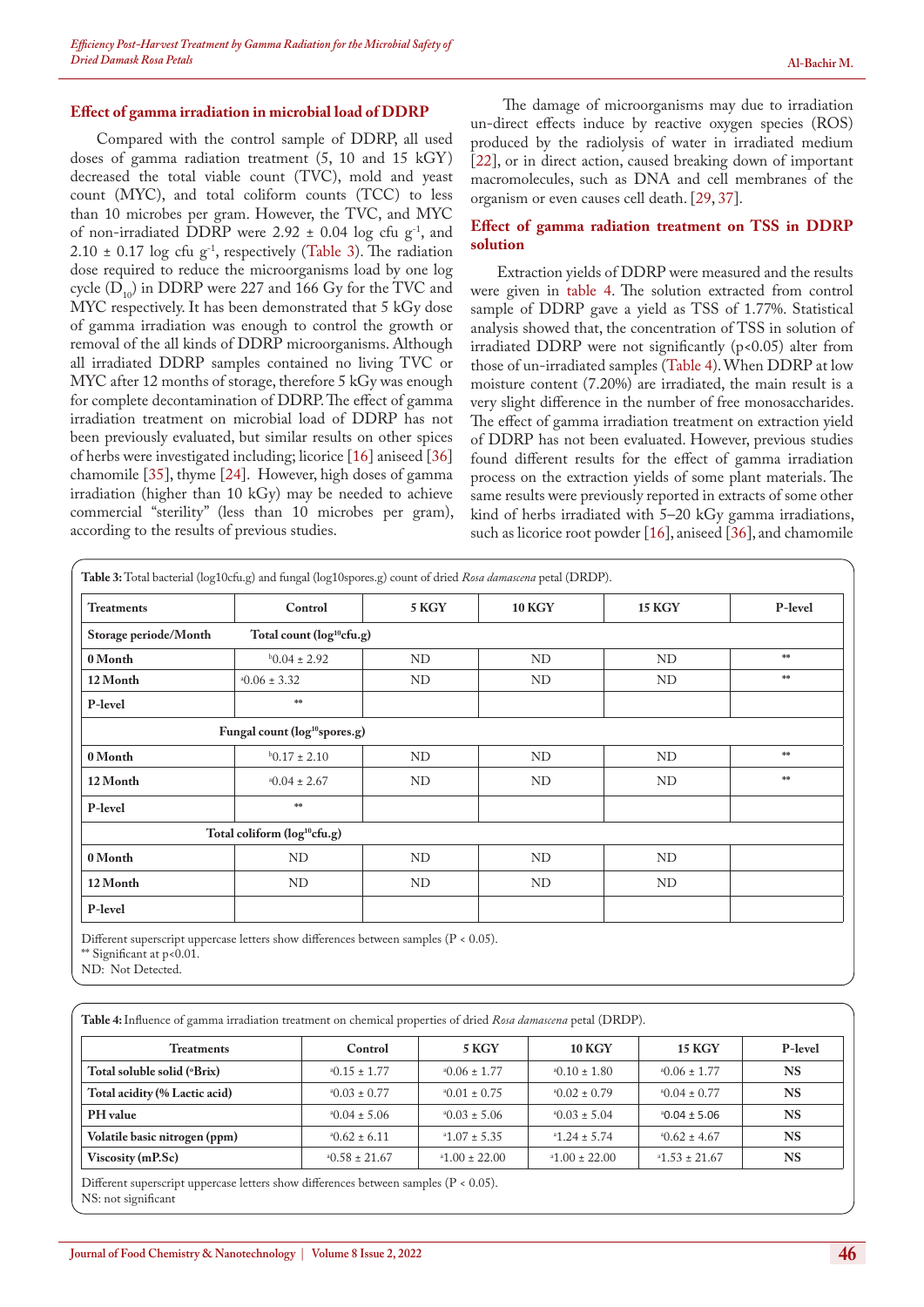#### **Effect of gamma irradiation in microbial load of DDRP**

Compared with the control sample of DDRP, all used doses of gamma radiation treatment (5, 10 and 15 kGY) decreased the total viable count (TVC), mold and yeast count (MYC), and total coliform counts (TCC) to less than 10 microbes per gram. However, the TVC, and MYC of non-irradiated DDRP were 2.92  $\pm$  0.04 log cfu g<sup>-1</sup>, and 2.10  $\pm$  0.17 log cfu g<sup>-1</sup>, respectively (Table 3). The radiation dose required to reduce the microorganisms load by one log cycle  $(D_{10})$  in DDRP were 227 and 166 Gy for the TVC and MYC respectively. It has been demonstrated that 5 kGy dose of gamma irradiation was enough to control the growth or removal of the all kinds of DDRP microorganisms. Although all irradiated DDRP samples contained no living TVC or MYC after 12 months of storage, therefore 5 kGy was enough for complete decontamination of DDRP. The effect of gamma irradiation treatment on microbial load of DDRP has not been previously evaluated, but similar results on other spices of herbs were investigated including; licorice [\[16](#page-5-10)] aniseed [\[36](#page-6-11)] chamomile [[35\]](#page-6-10), thyme [\[24](#page-6-3)]. However, high doses of gamma irradiation (higher than 10 kGy) may be needed to achieve commercial "sterility" (less than 10 microbes per gram), according to the results of previous studies.

The damage of microorganisms may due to irradiation un-direct effects induce by reactive oxygen species (ROS) produced by the radiolysis of water in irradiated medium [[22\]](#page-5-15), or in direct action, caused breaking down of important macromolecules, such as DNA and cell membranes of the organism or even causes cell death. [\[29](#page-6-5), [37\]](#page-6-12).

#### **Effect of gamma radiation treatment on TSS in DDRP solution**

Extraction yields of DDRP were measured and the results were given in table 4. The solution extracted from control sample of DDRP gave a yield as TSS of 1.77%. Statistical analysis showed that, the concentration of TSS in solution of irradiated DDRP were not significantly  $(p<0.05)$  alter from those of un-irradiated samples (Table 4). When DDRP at low moisture content (7.20%) are irradiated, the main result is a very slight difference in the number of free monosaccharides. The effect of gamma irradiation treatment on extraction yield of DDRP has not been evaluated. However, previous studies found different results for the effect of gamma irradiation process on the extraction yields of some plant materials. The same results were previously reported in extracts of some other kind of herbs irradiated with 5–20 kGy gamma irradiations, such as licorice root powder [\[16](#page-5-10)], aniseed [\[36](#page-6-11)], and chamomile

| <b>Treatments</b>     | Control                                   | 5 KGY | <b>10 KGY</b> | <b>15 KGY</b> | P-level       |
|-----------------------|-------------------------------------------|-------|---------------|---------------|---------------|
| Storage periode/Month | Total count (log <sup>10</sup> cfu.g)     |       |               |               |               |
| 0 Month               | $b0.04 \pm 2.92$                          | ND    | ND            | ND            | $\frac{1}{2}$ |
| 12 Month              | $*0.06 \pm 3.32$                          | ND    | ND            | ND            | **            |
| P-level               | $\frac{1}{2} \mathbb{E} \mathbb{E}$       |       |               |               |               |
|                       | Fungal count (log <sup>10</sup> spores.g) |       |               |               |               |
| 0 Month               | $b0.17 \pm 2.10$                          | ND    | ND            | ND            | $\frac{1}{2}$ |
| 12 Month              | $*0.04 \pm 2.67$                          | ND    | ND            | ND            | $\frac{1}{2}$ |
| P-level               | **                                        |       |               |               |               |
|                       | Total coliform (log <sup>10</sup> cfu.g)  |       |               |               |               |
| 0 Month               | ND                                        | ND    | ND            | ND            |               |
| 12 Month              | ND                                        | ND    | ND            | ND            |               |
| P-level               |                                           |       |               |               |               |

Different superscript uppercase letters show differences between samples (P < 0.05).

\*\* Significant at p<0.01.

ND: Not Detected.

| Table 4: Influence of gamma irradiation treatment on chemical properties of dried Rosa damascena petal (DRDP). |                    |                     |                     |                     |           |  |
|----------------------------------------------------------------------------------------------------------------|--------------------|---------------------|---------------------|---------------------|-----------|--|
| <b>Treatments</b>                                                                                              | Control            | 5 KGY               | <b>10 KGY</b>       | <b>15 KGY</b>       | P-level   |  |
| Total soluble solid (°Brix)                                                                                    | $^40.15 \pm 1.77$  | $*0.06 \pm 1.77$    | $^{4}$ 0.10 ± 1.80  | $^{40.06 \pm 1.77}$ | <b>NS</b> |  |
| Total acidity (% Lactic acid)                                                                                  | $^40.03 \pm 0.77$  | $^{4}$ 0.01 ± 0.75  | $^{4}0.02 \pm 0.79$ | $^{4}$ 0.04 ± 0.77  | <b>NS</b> |  |
| PH value                                                                                                       | $^{4}$ 0.04 ± 5.06 | $^{4}0.03 \pm 5.06$ | $^{4}0.03 \pm 5.04$ | $^{4}$ 0.04 ± 5.06  | <b>NS</b> |  |
| Volatile basic nitrogen (ppm)                                                                                  | $^{4}$ 0.62 ± 6.11 | $41.07 \pm 5.35$    | $41.24 \pm 5.74$    | $^{4}$ 0.62 ± 4.67  | <b>NS</b> |  |
| Viscosity (mP.Sc)                                                                                              | $*0.58 \pm 21.67$  | $*1.00 \pm 22.00$   | $*1.00 \pm 22.00$   | $*1.53 \pm 21.67$   | <b>NS</b> |  |

Different superscript uppercase letters show differences between samples (P < 0.05). NS: not significant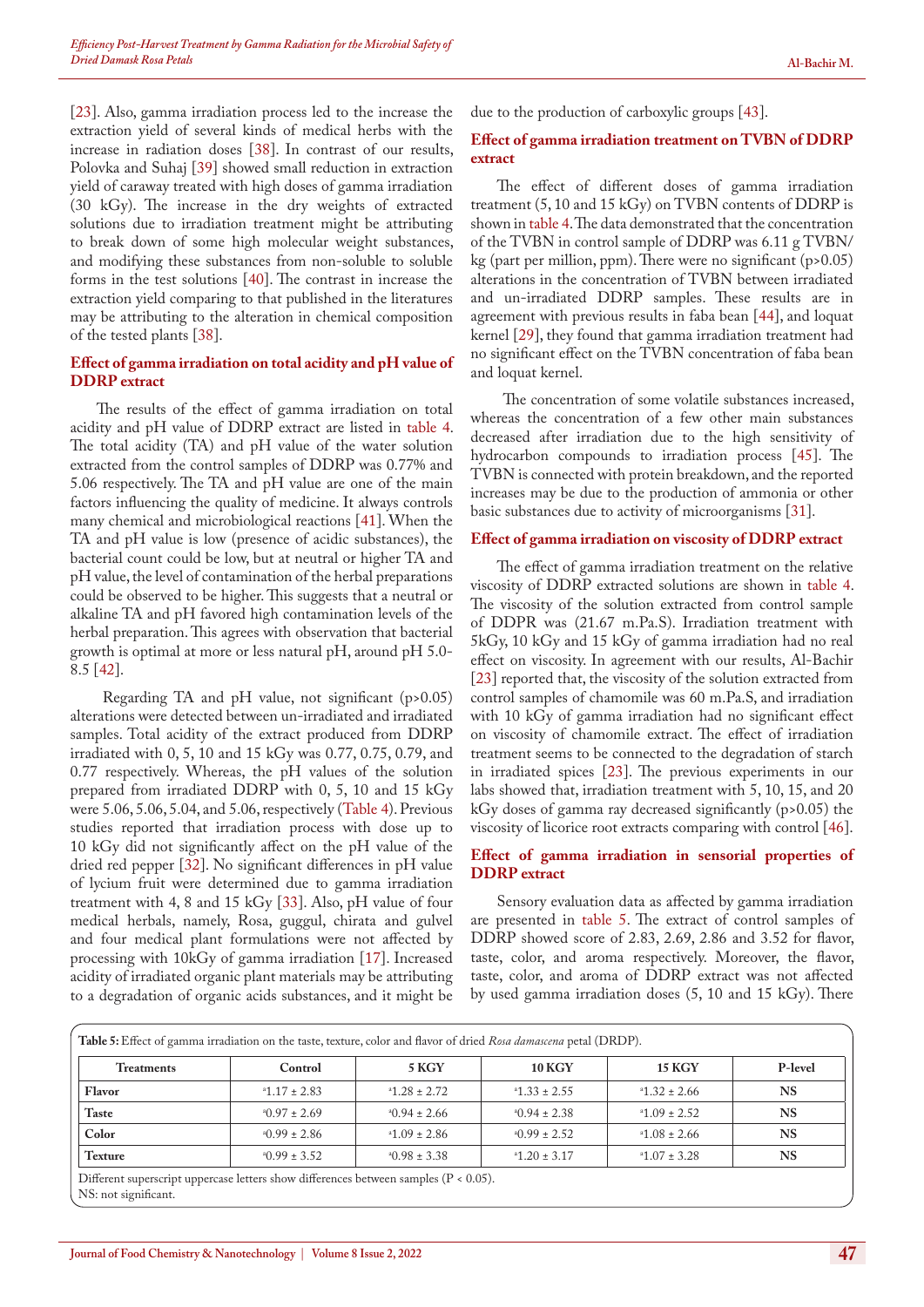[[23\]](#page-6-13). Also, gamma irradiation process led to the increase the extraction yield of several kinds of medical herbs with the increase in radiation doses [\[38](#page-6-14)]. In contrast of our results, Polovka and Suhaj [39] showed small reduction in extraction yield of caraway treated with high doses of gamma irradiation (30 kGy). The increase in the dry weights of extracted solutions due to irradiation treatment might be attributing to break down of some high molecular weight substances, and modifying these substances from non-soluble to soluble forms in the test solutions [\[40](#page-6-15)]. The contrast in increase the extraction yield comparing to that published in the literatures may be attributing to the alteration in chemical composition of the tested plants [[38\]](#page-6-14).

#### **Effect of gamma irradiation on total acidity and pH value of DDRP extract**

The results of the effect of gamma irradiation on total acidity and pH value of DDRP extract are listed in table 4. The total acidity (TA) and pH value of the water solution extracted from the control samples of DDRP was 0.77% and 5.06 respectively. The TA and pH value are one of the main factors influencing the quality of medicine. It always controls many chemical and microbiological reactions [\[41](#page-6-16)]. When the TA and pH value is low (presence of acidic substances), the bacterial count could be low, but at neutral or higher TA and pH value, the level of contamination of the herbal preparations could be observed to be higher. This suggests that a neutral or alkaline TA and pH favored high contamination levels of the herbal preparation. This agrees with observation that bacterial growth is optimal at more or less natural pH, around pH 5.0- 8.5 [[42\]](#page-6-17).

Regarding TA and pH value, not significant (p>0.05) alterations were detected between un-irradiated and irradiated samples. Total acidity of the extract produced from DDRP irradiated with 0, 5, 10 and 15 kGy was 0.77, 0.75, 0.79, and 0.77 respectively. Whereas, the pH values of the solution prepared from irradiated DDRP with 0, 5, 10 and 15 kGy were 5.06, 5.06, 5.04, and 5.06, respectively (Table 4). Previous studies reported that irradiation process with dose up to 10 kGy did not significantly affect on the pH value of the dried red pepper [[32\]](#page-6-8). No significant differences in pH value of lycium fruit were determined due to gamma irradiation treatment with 4, 8 and 15 kGy [33]. Also, pH value of four medical herbals, namely, Rosa, guggul, chirata and gulvel and four medical plant formulations were not affected by processing with 10kGy of gamma irradiation [\[17](#page-5-11)]. Increased acidity of irradiated organic plant materials may be attributing to a degradation of organic acids substances, and it might be

due to the production of carboxylic groups [\[43](#page-6-18)].

#### **Effect of gamma irradiation treatment on TVBN of DDRP extract**

The effect of different doses of gamma irradiation treatment (5, 10 and 15 kGy) on TVBN contents of DDRP is shown in table 4. The data demonstrated that the concentration of the TVBN in control sample of DDRP was 6.11 g TVBN/ kg (part per million, ppm). There were no significant  $(p>0.05)$ alterations in the concentration of TVBN between irradiated and un-irradiated DDRP samples. These results are in agreement with previous results in faba bean [[44\]](#page-6-19), and loquat kernel [\[29](#page-6-5)], they found that gamma irradiation treatment had no significant effect on the TVBN concentration of faba bean and loquat kernel.

The concentration of some volatile substances increased, whereas the concentration of a few other main substances decreased after irradiation due to the high sensitivity of hydrocarbon compounds to irradiation process [45]. The TVBN is connected with protein breakdown, and the reported increases may be due to the production of ammonia or other basic substances due to activity of microorganisms [[31\]](#page-6-7).

#### **Effect of gamma irradiation on viscosity of DDRP extract**

The effect of gamma irradiation treatment on the relative viscosity of DDRP extracted solutions are shown in table 4. The viscosity of the solution extracted from control sample of DDPR was (21.67 m.Pa.S). Irradiation treatment with 5kGy, 10 kGy and 15 kGy of gamma irradiation had no real effect on viscosity. In agreement with our results, Al-Bachir [[23\]](#page-6-13) reported that, the viscosity of the solution extracted from control samples of chamomile was 60 m.Pa.S, and irradiation with 10 kGy of gamma irradiation had no significant effect on viscosity of chamomile extract. The effect of irradiation treatment seems to be connected to the degradation of starch in irradiated spices [[23\]](#page-6-13). The previous experiments in our labs showed that, irradiation treatment with 5, 10, 15, and 20 kGy doses of gamma ray decreased significantly (p>0.05) the viscosity of licorice root extracts comparing with control [[46\]](#page-6-20).

#### **Effect of gamma irradiation in sensorial properties of DDRP extract**

Sensory evaluation data as affected by gamma irradiation are presented in table 5. The extract of control samples of DDRP showed score of 2.83, 2.69, 2.86 and 3.52 for flavor, taste, color, and aroma respectively. Moreover, the flavor, taste, color, and aroma of DDRP extract was not affected by used gamma irradiation doses (5, 10 and 15 kGy). There

| <b>Treatments</b> | Control            | 5 KGY              | <b>10 KGY</b>       | <b>15 KGY</b>    | P-level   |
|-------------------|--------------------|--------------------|---------------------|------------------|-----------|
| Flavor            | $2.17 \pm 2.83$    | $2.72$ $+ 2.72$    | $*1.33 \pm 2.55$    | $21.32 \pm 2.66$ | <b>NS</b> |
| <b>Taste</b>      | $^40.97 \pm 2.69$  | $^{4}$ 0.94 ± 2.66 | $^{4}$ 0.94 ± 2.38  | 2.52             | <b>NS</b> |
| Color             | $^{4}$ 0.99 ± 2.86 | $41.09 \pm 2.86$   | $^{4}$ (1.99 ± 2.52 | $2.08 \pm 2.66$  | <b>NS</b> |
| <b>Texture</b>    | $^40.99 \pm 3.52$  | $^40.98 \pm 3.38$  | $41.20 \pm 3.17$    | $*1.07 \pm 3.28$ | <b>NS</b> |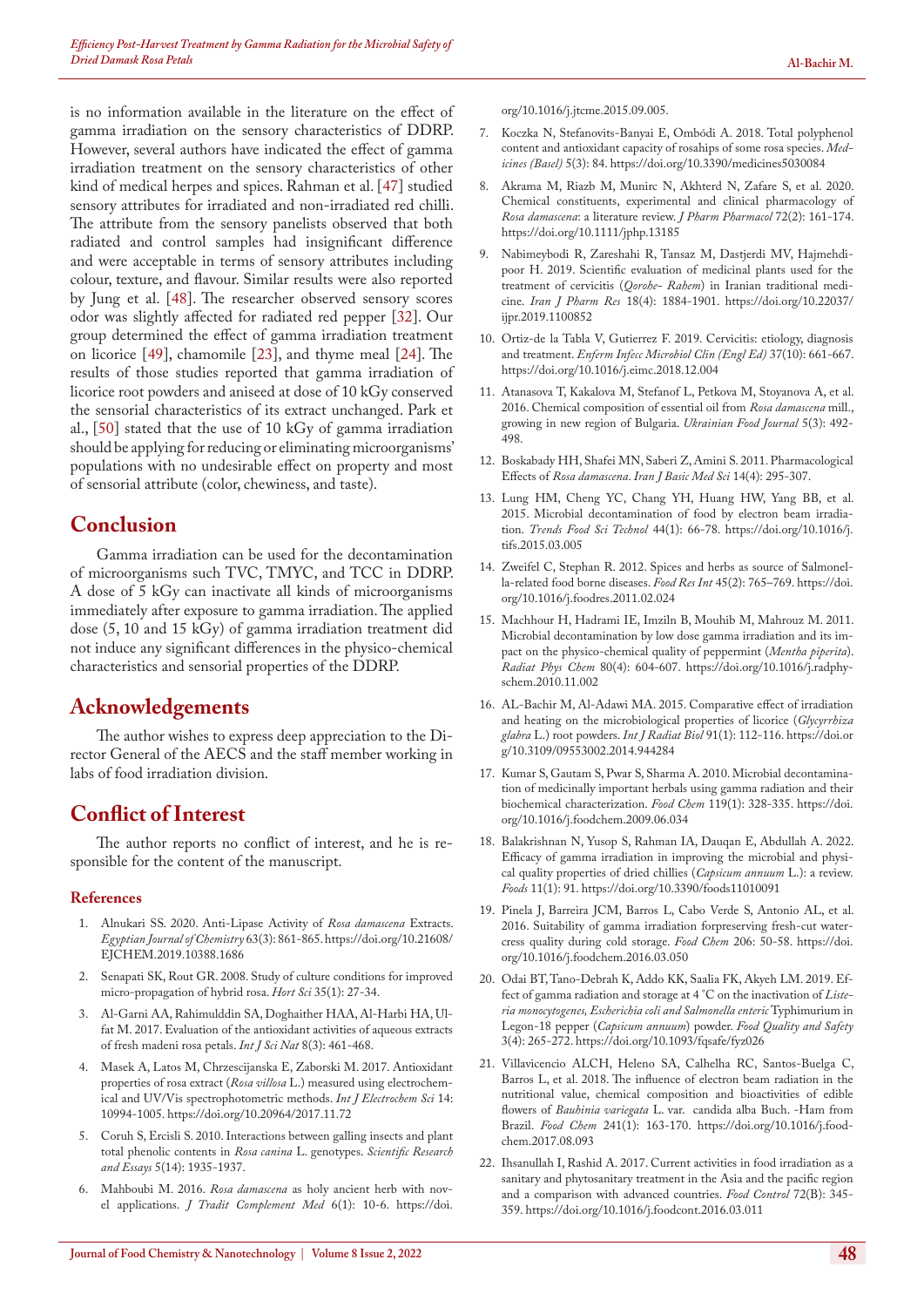is no information available in the literature on the effect of gamma irradiation on the sensory characteristics of DDRP. However, several authors have indicated the effect of gamma irradiation treatment on the sensory characteristics of other kind of medical herpes and spices. Rahman et al. [[47\]](#page-6-21) studied sensory attributes for irradiated and non-irradiated red chilli. The attribute from the sensory panelists observed that both radiated and control samples had insignificant difference and were acceptable in terms of sensory attributes including colour, texture, and flavour. Similar results were also reported by Jung et al. [[48\]](#page-6-22). The researcher observed sensory scores odor was slightly affected for radiated red pepper [[32\]](#page-6-8). Our group determined the effect of gamma irradiation treatment on licorice [\[49](#page-6-1)], chamomile [[23\]](#page-6-13), and thyme meal [24]. The results of those studies reported that gamma irradiation of licorice root powders and aniseed at dose of 10 kGy conserved the sensorial characteristics of its extract unchanged. Park et al., [\[50](#page-6-23)] stated that the use of 10 kGy of gamma irradiation should be applying for reducing or eliminating microorganisms' populations with no undesirable effect on property and most of sensorial attribute (color, chewiness, and taste).

### **Conclusion**

Gamma irradiation can be used for the decontamination of microorganisms such TVC, TMYC, and TCC in DDRP. A dose of 5 kGy can inactivate all kinds of microorganisms immediately after exposure to gamma irradiation. The applied dose (5, 10 and 15 kGy) of gamma irradiation treatment did not induce any significant differences in the physico-chemical characteristics and sensorial properties of the DDRP.

## **Acknowledgements**

The author wishes to express deep appreciation to the Director General of the AECS and the staff member working in labs of food irradiation division.

## **Conflict of Interest**

The author reports no conflict of interest, and he is responsible for the content of the manuscript.

#### **References**

- <span id="page-5-0"></span>1. [Alnukari SS. 2020. Anti-Lipase Activity of](https://ejchem.journals.ekb.eg/article_43457.html) *Rosa damascena* Extracts. *Egyptian [Journal of Chemistry](https://ejchem.journals.ekb.eg/article_43457.html)* 63(3): 861-865.[https://doi.org/10.21608/](https://doi.org/10.21608/EJCHEM.2019.10388.1686) [EJCHEM.2019.10388.1686](https://doi.org/10.21608/EJCHEM.2019.10388.1686)
- 2. [Senapati SK, Rout GR. 2008. Study of culture conditions for improved](https://www.agriculturejournals.cz/publicFiles/00764.pdf)  [micro-propagation of hybrid rosa.](https://www.agriculturejournals.cz/publicFiles/00764.pdf) *Hort Sci* 35(1): 27-34.
- <span id="page-5-1"></span>3. Al-Garni AA, Rahimulddin SA, Doghaither HAA, Al-Harbi HA, Ulfat M. 2017. Evaluation of the antioxidant activities of aqueous extracts of fresh madeni rosa petals. *Int J Sci Nat* 8(3): 461-468.
- <span id="page-5-2"></span>4. [Masek A, Latos M, Chrzescijanska E, Zaborski M. 2017. Antioxidant](http://www.electrochemsci.org/papers/vol12/121110994.pdf)  properties of rosa extract (*Rosa villosa* [L.\) measured using electrochem](http://www.electrochemsci.org/papers/vol12/121110994.pdf)[ical and UV/Vis spectrophotometric methods.](http://www.electrochemsci.org/papers/vol12/121110994.pdf) *Int J Electrochem Sci* 14: [10994-1005.](http://www.electrochemsci.org/papers/vol12/121110994.pdf) <https://doi.org/10.20964/2017.11.72>
- <span id="page-5-3"></span>5. [Coruh S, Ercisli S. 2010. Interactions between galling insects and plant](https://academicjournals.org/article/article1380639524_Coruh and Ercisli.pdf)  [total phenolic contents in](https://academicjournals.org/article/article1380639524_Coruh and Ercisli.pdf) *Rosa canina* L. genotypes. *Scientific Research and Essays* [5\(14\): 1935-1937.](https://academicjournals.org/article/article1380639524_Coruh and Ercisli.pdf)
- 6. Mahboubi M. 2016. *Rosa damascena* [as holy ancient herb with nov](https://pubmed.ncbi.nlm.nih.gov/26870673/)el applications. *[J Tradit Complement Med](https://pubmed.ncbi.nlm.nih.gov/26870673/)* 6(1): 10-6. [https://doi.](https://doi.org/10.1016/j.jtcme.2015.09.005)

[org/10.1016/j.jtcme.2015.09.005](https://doi.org/10.1016/j.jtcme.2015.09.005).

- 7. [Koczka N, Stefanovits-Banyai E, Ombódi A. 2018. Total polyphenol](https://pubmed.ncbi.nlm.nih.gov/30081545/)  [content and antioxidant capacity of rosahips of some rosa species.](https://pubmed.ncbi.nlm.nih.gov/30081545/) *Med[icines \(Basel\)](https://pubmed.ncbi.nlm.nih.gov/30081545/)* 5(3): 84. <https://doi.org/10.3390/medicines5030084>
- <span id="page-5-4"></span>8. [Akrama M, Riazb M, Munirc N, Akhterd N, Zafare S, et al. 2020.](https://pubmed.ncbi.nlm.nih.gov/31709541/)  [Chemical constituents, experimental and clinical pharmacology of](https://pubmed.ncbi.nlm.nih.gov/31709541/)  *Rosa damascena*[: a literature review.](https://pubmed.ncbi.nlm.nih.gov/31709541/) *J Pharm Pharmacol* 72(2): 161-174. <https://doi.org/10.1111/jphp.13185>
- 9. [Nabimeybodi R, Zareshahi R, Tansaz M, Dastjerdi MV, Hajmehdi](https://pubmed.ncbi.nlm.nih.gov/32184855/)[poor H. 2019. Scientific evaluation of medicinal plants used for the](https://pubmed.ncbi.nlm.nih.gov/32184855/)  treatment of cervicitis (*Qorohe- Rahem*[\) in Iranian traditional medi](https://pubmed.ncbi.nlm.nih.gov/32184855/)cine. *Iran J Pharm Res* [18\(4\): 1884-1901.](https://pubmed.ncbi.nlm.nih.gov/32184855/) [https://doi.org/10.22037/](https://doi.org/10.22037/ijpr.2019.1100852) [ijpr.2019.1100852](https://doi.org/10.22037/ijpr.2019.1100852)
- <span id="page-5-5"></span>10. [Ortiz-de la Tabla V, Gutierrez F. 2019. Cervicitis: etiology, diagnosis](https://pubmed.ncbi.nlm.nih.gov/30630634/)  and treatment. *[Enferm Infecc Microbiol Clin \(Engl Ed\)](https://pubmed.ncbi.nlm.nih.gov/30630634/)* 37(10): 661-667. <https://doi.org/10.1016/j.eimc.2018.12.004>
- <span id="page-5-6"></span>11. [Atanasova T, Kakalova M, Stefanof L, Petkova M, Stoyanova A, et al.](https://nuft.edu.ua/doi/doc/ufj/2016/3/8.pdf)  [2016. Chemical composition of essential oil from](https://nuft.edu.ua/doi/doc/ufj/2016/3/8.pdf) *Rosa damascena* mill., [growing in new region of Bulgaria.](https://nuft.edu.ua/doi/doc/ufj/2016/3/8.pdf) *Ukrainian Food Journal* 5(3): 492- [498.](https://nuft.edu.ua/doi/doc/ufj/2016/3/8.pdf)
- <span id="page-5-7"></span>12. [Boskabady HH, Shafei MN, Saberi Z, Amini S. 2011. Pharmacological](https://pubmed.ncbi.nlm.nih.gov/23493250/)  Effects of *Rosa damascena*. *[Iran J Basic Med Sci](https://pubmed.ncbi.nlm.nih.gov/23493250/)* 14(4): 295-307.
- <span id="page-5-8"></span>13. [Lung HM, Cheng YC, Chang YH, Huang HW, Yang BB, et al.](https://doi.org/10.1016/j.tifs.2015.03.005)  [2015. Microbial decontamination of food by electron beam irradia](https://doi.org/10.1016/j.tifs.2015.03.005)tion. *[Trends Food Sci Technol](https://doi.org/10.1016/j.tifs.2015.03.005)* 44(1): 66-78. [https://doi.org/10.1016/j.](https://doi.org/10.1016/j.tifs.2015.03.005) [tifs.2015.03.005](https://doi.org/10.1016/j.tifs.2015.03.005)
- 14. [Zweifel C, Stephan R. 2012. Spices and herbs as source of Salmonel](https://www.sciencedirect.com/science/article/abs/pii/S0963996911001268)[la-related food borne diseases.](https://www.sciencedirect.com/science/article/abs/pii/S0963996911001268) *Food Res Int* 45(2): 765–769. [https://doi.](https://doi.org/10.1016/j.foodres.2011.02.024) [org/10.1016/j.foodres.2011.02.024](https://doi.org/10.1016/j.foodres.2011.02.024)
- <span id="page-5-9"></span>15. [Machhour H, Hadrami IE, Imziln B, Mouhib M, Mahrouz M. 2011.](https://www.sciencedirect.com/science/article/abs/pii/S0969806X10004317)  [Microbial decontamination by low dose gamma irradiation and its im](https://www.sciencedirect.com/science/article/abs/pii/S0969806X10004317)[pact on the physico-chemical quality of peppermint \(](https://www.sciencedirect.com/science/article/abs/pii/S0969806X10004317)*Mentha piperita*). *[Radiat Phys Chem](https://www.sciencedirect.com/science/article/abs/pii/S0969806X10004317)* 80(4): 604-607. [https://doi.org/10.1016/j.radphy](https://doi.org/10.1016/j.radphyschem.2010.11.002)[schem.2010.11.002](https://doi.org/10.1016/j.radphyschem.2010.11.002)
- <span id="page-5-10"></span>16. [AL-Bachir M, Al-Adawi MA. 2015. Comparative effect of irradiation](https://pubmed.ncbi.nlm.nih.gov/25052902/)  [and heating on the microbiological properties of licorice \(](https://pubmed.ncbi.nlm.nih.gov/25052902/)*Glycyrrhiza glabra* [L.\) root powders.](https://pubmed.ncbi.nlm.nih.gov/25052902/) *Int J Radiat Biol* 91(1): 112-116. [https://doi.or](https://doi.org/10.3109/09553002.2014.944284) [g/10.3109/09553002.2014.944284](https://doi.org/10.3109/09553002.2014.944284)
- <span id="page-5-11"></span>17. [Kumar S, Gautam S, Pwar S, Sharma A. 2010. Microbial decontamina](https://www.sciencedirect.com/science/article/abs/pii/S0308814609008437)[tion of medicinally important herbals using gamma radiation and their](https://www.sciencedirect.com/science/article/abs/pii/S0308814609008437)  [biochemical characterization.](https://www.sciencedirect.com/science/article/abs/pii/S0308814609008437) *Food Chem* 119(1): 328-335. [https://doi.](https://doi.org/10.1016/j.foodchem.2009.06.034) [org/10.1016/j.foodchem.2009.06.034](https://doi.org/10.1016/j.foodchem.2009.06.034)
- <span id="page-5-12"></span>18. [Balakrishnan N, Yusop S, Rahman IA, Dauqan E, Abdullah A. 2022.](https://www.mdpi.com/2304-8158/11/1/91)  [Efficacy of gamma irradiation in improving the microbial and physi](https://www.mdpi.com/2304-8158/11/1/91)[cal quality properties of dried chillies \(](https://www.mdpi.com/2304-8158/11/1/91)*Capsicum annuum* L.): a review. *Foods* [11\(1\): 91.](https://www.mdpi.com/2304-8158/11/1/91) <https://doi.org/10.3390/foods11010091>
- <span id="page-5-13"></span>19. [Pinela J, Barreira JCM, Barros L, Cabo Verde S, Antonio AL, et al.](https://pubmed.ncbi.nlm.nih.gov/27041297/)  [2016. Suitability of gamma irradiation forpreserving fresh-cut water](https://pubmed.ncbi.nlm.nih.gov/27041297/)[cress quality during cold storage.](https://pubmed.ncbi.nlm.nih.gov/27041297/) *Food Chem* 206: 50-58. [https://doi.](https://doi.org/10.1016/j.foodchem.2016.03.050) [org/10.1016/j.foodchem.2016.03.050](https://doi.org/10.1016/j.foodchem.2016.03.050)
- <span id="page-5-14"></span>20. [Odai BT, Tano-Debrah K, Addo KK, Saalia FK, Akyeh LM. 2019. Ef](https://academic.oup.com/fqs/article/3/4/265/5667890)[fect of gamma radiation and storage at 4 °C on the inactivation of](https://academic.oup.com/fqs/article/3/4/265/5667890) *Liste[ria monocytogenes, Escherichia coli and Salmonella enteric](https://academic.oup.com/fqs/article/3/4/265/5667890)* Typhimurium in Legon-18 pepper (*Capsicum annuum*) powder. *[Food Quality and Safety](https://academic.oup.com/fqs/article/3/4/265/5667890)* [3\(4\): 265-272.](https://academic.oup.com/fqs/article/3/4/265/5667890) <https://doi.org/10.1093/fqsafe/fyz026>
- 21. [Villavicencio ALCH, Heleno SA, Calhelha RC, Santos-Buelga C,](https://www.sciencedirect.com/science/article/abs/pii/S0308814617314280)  [Barros L, et al. 2018. The influence of electron beam radiation in the](https://www.sciencedirect.com/science/article/abs/pii/S0308814617314280)  [nutritional value, chemical composition and bioactivities of edible](https://www.sciencedirect.com/science/article/abs/pii/S0308814617314280)  flowers of *Bauhinia variegata* [L. var. candida alba Buch. -Ham from](https://www.sciencedirect.com/science/article/abs/pii/S0308814617314280)  Brazil. *Food Chem* [241\(1\): 163-170.](https://www.sciencedirect.com/science/article/abs/pii/S0308814617314280) [https://doi.org/10.1016/j.food](https://doi.org/10.1016/j.foodchem.2017.08.093)[chem.2017.08.093](https://doi.org/10.1016/j.foodchem.2017.08.093)
- <span id="page-5-15"></span>22. [Ihsanullah I, Rashid A. 2017. Current activities in food irradiation as a](https://www.sciencedirect.com/science/article/abs/pii/S0956713516301165)  [sanitary and phytosanitary treatment in the Asia and the pacific region](https://www.sciencedirect.com/science/article/abs/pii/S0956713516301165)  [and a comparison with advanced countries.](https://www.sciencedirect.com/science/article/abs/pii/S0956713516301165) *Food Control* 72(B): 345- [359.](https://www.sciencedirect.com/science/article/abs/pii/S0956713516301165) <https://doi.org/10.1016/j.foodcont.2016.03.011>